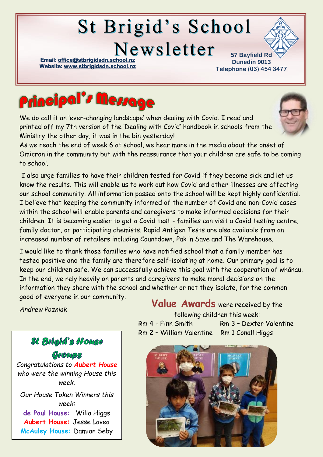# **St Brigid's School**

Newsletter

**Email: office@stbrigidsdn.school Website[: www.stbrigidsdn.school.nz](http://www.stbrigidsdn.school.nz/)** 

**57 Bayfield Rd Dunedin 9013 Telephone (03) 454 3477** 



We do call it an 'ever-changing landscape' when dealing with Covid. I read and printed off my 7th version of the 'Dealing with Covid' handbook in schools from the Ministry the other day, it was in the bin yesterday!



As we reach the end of week 6 at school, we hear more in the media about the onset of Omicron in the community but with the reassurance that your children are safe to be coming to school.

I also urge families to have their children tested for Covid if they become sick and let us know the results. This will enable us to work out how Covid and other illnesses are affecting our school community. All information passed onto the school will be kept highly confidential. I believe that keeping the community informed of the number of Covid and non-Covid cases within the school will enable parents and caregivers to make informed decisions for their children. It is becoming easier to get a Covid test - families can visit a Covid testing centre, family doctor, or participating chemists. Rapid Antigen Tests are also available from an increased number of retailers including Countdown, Pak 'n Save and The Warehouse.

I would like to thank those families who have notified school that a family member has tested positive and the family are therefore self-isolating at home. Our primary goal is to keep our children safe. We can successfully achieve this goal with the cooperation of whānau. In the end, we rely heavily on parents and caregivers to make moral decisions on the information they share with the school and whether or not they isolate, for the common good of everyone in our community.

*Andrew Pozniak*

# **St Brigid's House** COOCODS

*Congratulations to Aubert House who were the winning House this week.*

*Our House Token Winners this week:* **de Paul House:** Willa Higgs **Aubert House:** Jesse Lavea **McAuley House:** Damian Seby

## Value Awards were received by the

following children this week: Rm 4 - Finn Smith Rm 3 - Dexter Valentine Rm 2 – William Valentine Rm 1 Conall Higgs

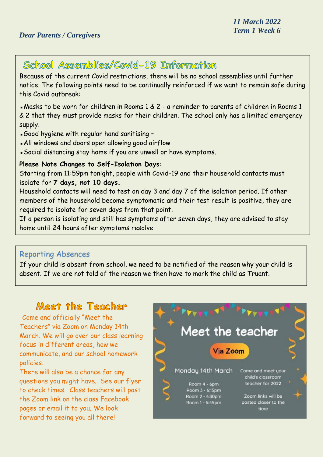# School Assemblies/Covid-19 Information

Because of the current Covid restrictions, there will be no school assemblies until further notice. The following points need to be continually reinforced if we want to remain safe during this Covid outbreak:

▪Masks to be worn for children in Rooms 1 & 2 - a reminder to parents of children in Rooms 1 & 2 that they must provide masks for their children. The school only has a limited emergency supply.

- ▪Good hygiene with regular hand sanitising –
- ▪All windows and doors open allowing good airflow
- ▪Social distancing stay home if you are unwell or have symptoms.

#### **Please Note Changes to Self-Isolation Days:**

Starting from 11:59pm tonight, people with Covid-19 and their household contacts must isolate for **7 days, not 10 days.**

Household contacts will need to test on day 3 and day 7 of the isolation period. If other members of the household become symptomatic and their test result is positive, they are required to isolate for seven days from that point.

If a person is isolating and still has symptoms after seven days, they are advised to stay home until 24 hours after symptoms resolve.

#### Reporting Absences

If your child is absent from school, we need to be notified of the reason why your child is absent. If we are not told of the reason we then have to mark the child as Truant.

## Meet the Teacher

Come and officially "Meet the Teachers" via Zoom on Monday 14th March. We will go over our class learning focus in different areas, how we communicate, and our school homework policies.

There will also be a chance for any questions you might have. See our flyer to check times. Class teachers will post the Zoom link on the class Facebook pages or email it to you. We look forward to seeing you all there!

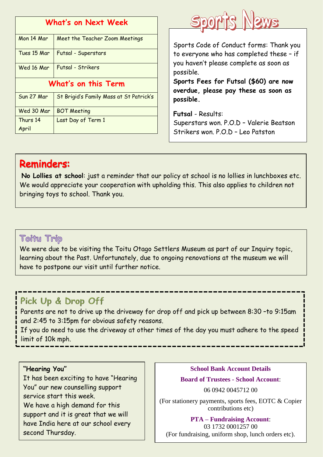| What's on Next Week |                                         |
|---------------------|-----------------------------------------|
| Mon 14 Mar          | Meet the Teacher Zoom Meetings          |
| Tues 15 Mar         | Futsal - Superstars                     |
| Wed 16 Mar          | Futsal - Strikers                       |
| What's on this Term |                                         |
| Sun 27 Mar          | St Brigid's Family Mass at St Patrick's |
| Wed 30 Mar          | <b>BOT Meeting</b>                      |
| Thurs 14            | Last Day of Term 1                      |
| April               |                                         |



Sports Code of Conduct forms: Thank you to everyone who has completed these – if you haven't please complete as soon as possible.

**Sports Fees for Futsal (\$60) are now overdue, please pay these as soon as possible.**

**Futsal** - Results: Superstars won. P.O.D – Valerie Beatson Strikers won. P.O.D – Leo Patston

# **Reminders:**

**No Lollies at school**: just a reminder that our policy at school is no lollies in lunchboxes etc. We would appreciate your cooperation with upholding this. This also applies to children not bringing toys to school. Thank you.

## **Toitu Trip**

We were due to be visiting the Toitu Otago Settlers Museum as part of our Inquiry topic, learning about the Past. Unfortunately, due to ongoing renovations at the museum we will have to postpone our visit until further notice.

## Pick Up & Drop Off

Parents are not to drive up the driveway for drop off and pick up between 8:30 -to 9:15am and 2:45 to 3:15pm for obvious safety reasons.

If you do need to use the driveway at other times of the day you must adhere to the speed limit of 10k mph.

#### **"Hearing You"**

It has been exciting to have "Hearing You" our new counselling support service start this week. We have a high demand for this support and it is great that we will have India here at our school every second Thursday.

### **School Bank Account Details Board of Trustees - School Account**:

06 0942 0045712 00

(For stationery payments, sports fees, EOTC & Copier contributions etc)

**PTA – Fundraising Account**:

03 1732 0001257 00 (For fundraising, uniform shop, lunch orders etc).